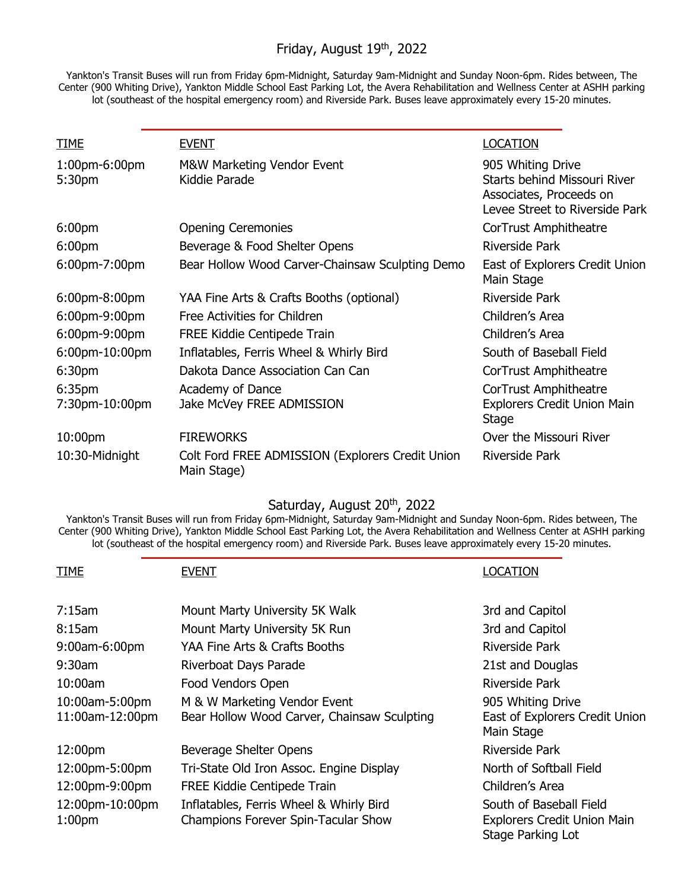## Friday, August 19th, 2022

Yankton's Transit Buses will run from Friday 6pm-Midnight, Saturday 9am-Midnight and Sunday Noon-6pm. Rides between, The Center (900 Whiting Drive), Yankton Middle School East Parking Lot, the Avera Rehabilitation and Wellness Center at ASHH parking lot (southeast of the hospital emergency room) and Riverside Park. Buses leave approximately every 15-20 minutes.

| <b>TIME</b>             | <b>EVENT</b>                                                    | <b>LOCATION</b>                                                                                                |
|-------------------------|-----------------------------------------------------------------|----------------------------------------------------------------------------------------------------------------|
| 1:00pm-6:00pm<br>5:30pm | M&W Marketing Vendor Event<br>Kiddie Parade                     | 905 Whiting Drive<br>Starts behind Missouri River<br>Associates, Proceeds on<br>Levee Street to Riverside Park |
| 6:00 <sub>pm</sub>      | <b>Opening Ceremonies</b>                                       | CorTrust Amphitheatre                                                                                          |
| 6:00 <sub>pm</sub>      | Beverage & Food Shelter Opens                                   | Riverside Park                                                                                                 |
| 6:00pm-7:00pm           | Bear Hollow Wood Carver-Chainsaw Sculpting Demo                 | East of Explorers Credit Union<br>Main Stage                                                                   |
| $6:00$ pm-8:00pm        | YAA Fine Arts & Crafts Booths (optional)                        | Riverside Park                                                                                                 |
| 6:00pm-9:00pm           | Free Activities for Children                                    | Children's Area                                                                                                |
| 6:00pm-9:00pm           | <b>FREE Kiddie Centipede Train</b>                              | Children's Area                                                                                                |
| 6:00pm-10:00pm          | Inflatables, Ferris Wheel & Whirly Bird                         | South of Baseball Field                                                                                        |
| 6:30 <sub>pm</sub>      | Dakota Dance Association Can Can                                | CorTrust Amphitheatre                                                                                          |
| 6:35pm                  | Academy of Dance                                                | CorTrust Amphitheatre                                                                                          |
| 7:30pm-10:00pm          | Jake McVey FREE ADMISSION                                       | <b>Explorers Credit Union Main</b><br>Stage                                                                    |
| 10:00pm                 | <b>FIREWORKS</b>                                                | Over the Missouri River                                                                                        |
| 10:30-Midnight          | Colt Ford FREE ADMISSION (Explorers Credit Union<br>Main Stage) | Riverside Park                                                                                                 |

# Saturday, August 20<sup>th</sup>, 2022

Yankton's Transit Buses will run from Friday 6pm-Midnight, Saturday 9am-Midnight and Sunday Noon-6pm. Rides between, The Center (900 Whiting Drive), Yankton Middle School East Parking Lot, the Avera Rehabilitation and Wellness Center at ASHH parking lot (southeast of the hospital emergency room) and Riverside Park. Buses leave approximately every 15-20 minutes.

| <b>TIME</b>                           | <b>EVENT</b>                                                                          | LOCATION                                                                           |
|---------------------------------------|---------------------------------------------------------------------------------------|------------------------------------------------------------------------------------|
| 7:15am                                | Mount Marty University 5K Walk                                                        | 3rd and Capitol                                                                    |
| 8:15am                                | Mount Marty University 5K Run                                                         | 3rd and Capitol                                                                    |
| 9:00am-6:00pm                         | YAA Fine Arts & Crafts Booths                                                         | Riverside Park                                                                     |
| $9:30$ am                             | Riverboat Days Parade                                                                 | 21st and Douglas                                                                   |
| $10:00$ am                            | Food Vendors Open                                                                     | Riverside Park                                                                     |
| 10:00am-5:00pm<br>11:00am-12:00pm     | M & W Marketing Vendor Event<br>Bear Hollow Wood Carver, Chainsaw Sculpting           | 905 Whiting Drive<br>East of Explorers Credit Union<br>Main Stage                  |
| 12:00pm                               | Beverage Shelter Opens                                                                | Riverside Park                                                                     |
| 12:00pm-5:00pm                        | Tri-State Old Iron Assoc. Engine Display                                              | North of Softball Field                                                            |
| 12:00pm-9:00pm                        | FREE Kiddie Centipede Train                                                           | Children's Area                                                                    |
| 12:00pm-10:00pm<br>1:00 <sub>pm</sub> | Inflatables, Ferris Wheel & Whirly Bird<br><b>Champions Forever Spin-Tacular Show</b> | South of Baseball Field<br><b>Explorers Credit Union Main</b><br>Stage Parking Lot |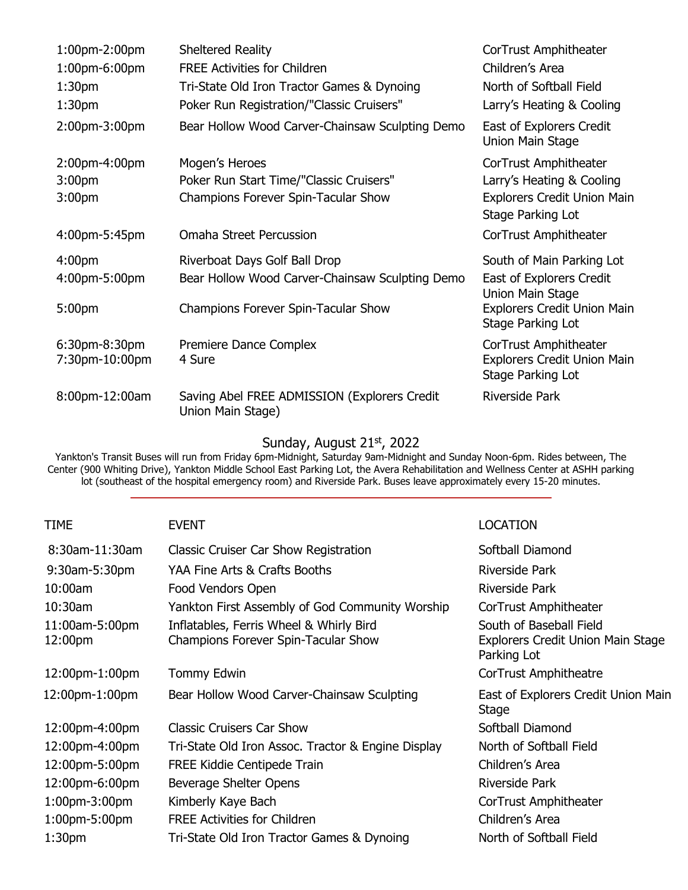| $1:00$ pm $-2:00$ pm | <b>Sheltered Reality</b>                                          | CorTrust Amphitheater                                   |
|----------------------|-------------------------------------------------------------------|---------------------------------------------------------|
| 1:00pm-6:00pm        | <b>FREE Activities for Children</b>                               | Children's Area                                         |
| 1:30 <sub>pm</sub>   | Tri-State Old Iron Tractor Games & Dynoing                        | North of Softball Field                                 |
| 1:30 <sub>pm</sub>   | Poker Run Registration/"Classic Cruisers"                         | Larry's Heating & Cooling                               |
| 2:00pm-3:00pm        | Bear Hollow Wood Carver-Chainsaw Sculpting Demo                   | East of Explorers Credit<br>Union Main Stage            |
| 2:00pm-4:00pm        | Mogen's Heroes                                                    | CorTrust Amphitheater                                   |
| 3:00 <sub>pm</sub>   | Poker Run Start Time/"Classic Cruisers"                           | Larry's Heating & Cooling                               |
| 3:00 <sub>pm</sub>   | <b>Champions Forever Spin-Tacular Show</b>                        | <b>Explorers Credit Union Main</b><br>Stage Parking Lot |
| 4:00pm-5:45pm        | <b>Omaha Street Percussion</b>                                    | CorTrust Amphitheater                                   |
| 4:00 <sub>pm</sub>   | Riverboat Days Golf Ball Drop                                     | South of Main Parking Lot                               |
| 4:00pm-5:00pm        | Bear Hollow Wood Carver-Chainsaw Sculpting Demo                   | East of Explorers Credit<br>Union Main Stage            |
| 5:00pm               | Champions Forever Spin-Tacular Show                               | <b>Explorers Credit Union Main</b><br>Stage Parking Lot |
| 6:30pm-8:30pm        | Premiere Dance Complex                                            | CorTrust Amphitheater                                   |
| 7:30pm-10:00pm       | 4 Sure                                                            | <b>Explorers Credit Union Main</b><br>Stage Parking Lot |
| 8:00pm-12:00am       | Saving Abel FREE ADMISSION (Explorers Credit<br>Union Main Stage) | Riverside Park                                          |

#### Sunday, August 21st, 2022

Yankton's Transit Buses will run from Friday 6pm-Midnight, Saturday 9am-Midnight and Sunday Noon-6pm. Rides between, The Center (900 Whiting Drive), Yankton Middle School East Parking Lot, the Avera Rehabilitation and Wellness Center at ASHH parking lot (southeast of the hospital emergency room) and Riverside Park. Buses leave approximately every 15-20 minutes.

### TIME EVENT EVENT EVENT

| 8:30am-11:30am            | Classic Cruiser Car Show Registration                                          | Softball Diamond                                                            |
|---------------------------|--------------------------------------------------------------------------------|-----------------------------------------------------------------------------|
| 9:30am-5:30pm             | YAA Fine Arts & Crafts Booths                                                  | Riverside Park                                                              |
| 10:00am                   | Food Vendors Open                                                              | Riverside Park                                                              |
| $10:30$ am                | Yankton First Assembly of God Community Worship                                | CorTrust Amphitheater                                                       |
| 11:00am-5:00pm<br>12:00pm | Inflatables, Ferris Wheel & Whirly Bird<br>Champions Forever Spin-Tacular Show | South of Baseball Field<br>Explorers Credit Union Main Stage<br>Parking Lot |
| 12:00pm-1:00pm            | <b>Tommy Edwin</b>                                                             | CorTrust Amphitheatre                                                       |
| 12:00pm-1:00pm            | Bear Hollow Wood Carver-Chainsaw Sculpting                                     | East of Explorers Credit Union Main<br>Stage                                |
| 12:00pm-4:00pm            | <b>Classic Cruisers Car Show</b>                                               | Softball Diamond                                                            |
| 12:00pm-4:00pm            | Tri-State Old Iron Assoc. Tractor & Engine Display                             | North of Softball Field                                                     |
| 12:00pm-5:00pm            | <b>FREE Kiddie Centipede Train</b>                                             | Children's Area                                                             |
| 12:00pm-6:00pm            | Beverage Shelter Opens                                                         | Riverside Park                                                              |
| 1:00pm-3:00pm             | Kimberly Kaye Bach                                                             | CorTrust Amphitheater                                                       |
| 1:00pm-5:00pm             | <b>FREE Activities for Children</b>                                            | Children's Area                                                             |
| 1:30 <sub>pm</sub>        | Tri-State Old Iron Tractor Games & Dynoing                                     | North of Softball Field                                                     |